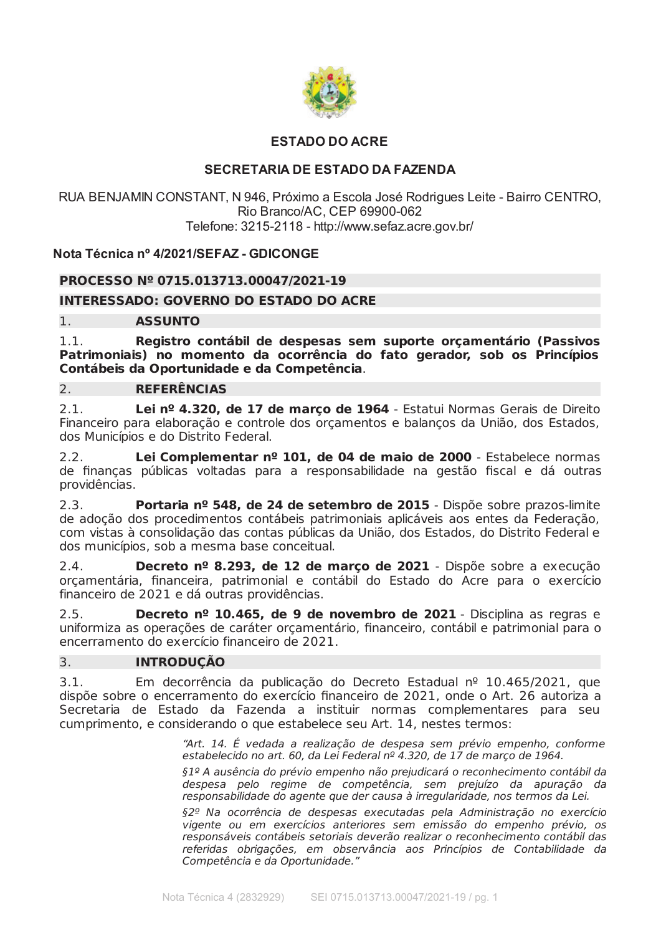

# **ESTADO DO ACRE**

# **SECRETARIA DE ESTADO DA FAZENDA**

RUA BENJAMIN CONSTANT, N 946, Próximo a Escola José Rodrigues Leite - Bairro CENTRO, Rio Branco/AC, CEP 69900-062 Telefone: 3215-2118 - http://www.sefaz.acre.gov.br/

# Nota Técnica nº 4/2021/SEFAZ - GDICONGE

# PROCESSO Nº 0715.013713.00047/2021-19

# **INTERESSADO: GOVERNO DO ESTADO DO ACRE**

### $1.$ **ASSUNTO**

 $1.1.$ Registro contábil de despesas sem suporte orçamentário (Passivos Patrimoniais) no momento da ocorrência do fato gerador, sob os Princípios Contábeis da Oportunidade e da Competência.

### **REFERÊNCIAS** 2.

 $2<sub>1</sub>$ Lei nº 4.320, de 17 de marco de 1964 - Estatui Normas Gerais de Direito Financeiro para elaboração e controle dos orcamentos e balancos da União, dos Estados, dos Municípios e do Distrito Federal.

Lei Complementar nº 101, de 04 de maio de 2000 - Estabelece normas  $2.2.$ de finanças públicas voltadas para a responsabilidade na gestão fiscal e dá outras providências.

 $2.3.$ Portaria nº 548, de 24 de setembro de 2015 - Dispõe sobre prazos-limite de adocão dos procedimentos contábeis patrimoniais aplicáveis aos entes da Federação. com vistas à consolidação das contas públicas da União, dos Estados, do Distrito Federal e dos municípios, sob a mesma base conceitual.

 $2.4.$ Decreto nº 8.293, de 12 de março de 2021 - Dispõe sobre a execução orçamentária, financeira, patrimonial e contábil do Estado do Acre para o exercício financeiro de 2021 e dá outras providências.

 $2.5.$ Decreto nº 10.465, de 9 de novembro de 2021 - Disciplina as regras e uniformiza as operações de caráter orçamentário, financeiro, contábil e patrimonial para o encerramento do exercício financeiro de 2021.

### 3. **INTRODUÇÃO**

 $3.1.$ Em decorrência da publicação do Decreto Estadual nº 10.465/2021, que dispõe sobre o encerramento do exercício financeiro de 2021, onde o Art. 26 autoriza a Secretaria de Estado da Fazenda a instituir normas complementares para seu cumprimento, e considerando o que estabelece seu Art, 14, nestes termos:

> "Art. 14. É vedada a realização de despesa sem prévio empenho, conforme estabelecido no art. 60, da Lei Federal nº 4.320, de 17 de março de 1964.

> §1º A ausência do prévio empenho não prejudicará o reconhecimento contábil da despesa pelo regime de competência, sem prejuízo da apuração da responsabilidade do agente que der causa à irregularidade, nos termos da Lei.

> §2º Na ocorrência de despesas executadas pela Administração no exercício vigente ou em exercícios anteriores sem emissão do empenho prévio, os responsáveis contábeis setoriais deverão realizar o reconhecimento contábil das referidas obrigações, em observância aos Princípios de Contabilidade da Competência e da Oportunidade."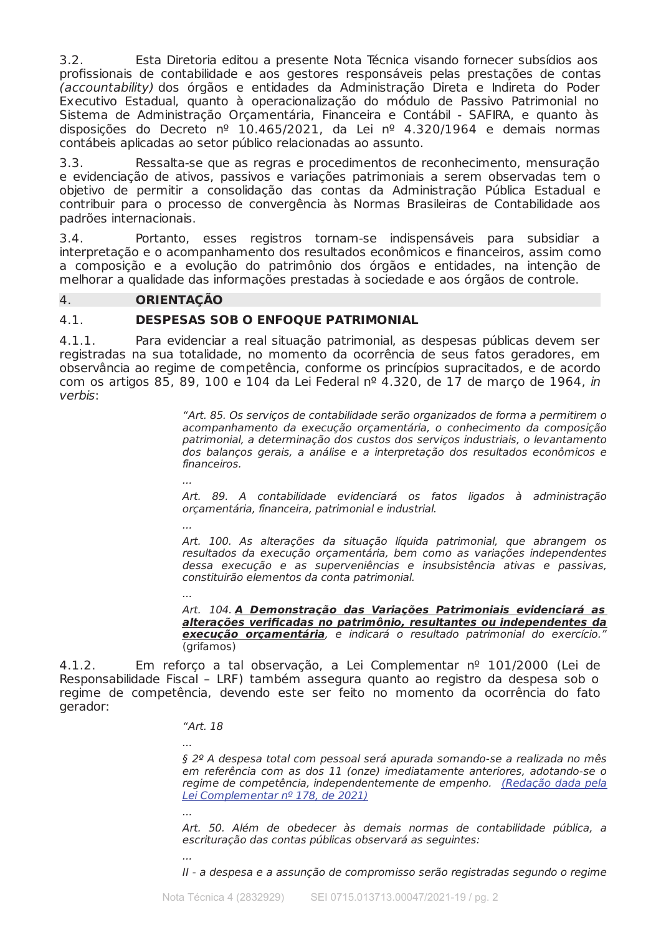$3.2.$ Esta Diretoria editou a presente Nota Técnica visando fornecer subsídios aos profissionais de contabilidade e aos gestores responsáveis pelas prestações de contas (accountability) dos órgãos e entidades da Administração Direta e Indireta do Poder Executivo Estadual, quanto à operacionalização do módulo de Passivo Patrimonial no Sistema de Administração Orçamentária, Financeira e Contábil - SAFIRA, e quanto às disposições do Decreto nº 10.465/2021, da Lei nº 4.320/1964 e demais normas contábeis aplicadas ao setor público relacionadas ao assunto.

Ressalta-se que as regras e procedimentos de reconhecimento, mensuração  $3.3.$ e evidenciação de ativos, passivos e variações patrimoniais a serem observadas tem o objetivo de permitir a consolidação das contas da Administração Pública Estadual e contribuir para o processo de convergência às Normas Brasileiras de Contabilidade aos padrões internacionais.

 $3.4.$ Portanto, esses registros tornam-se indispensáveis para subsidiar a interpretação e o acompanhamento dos resultados econômicos e financeiros, assim como a composição e a evolução do patrimônio dos órgãos e entidades, na intenção de melhorar a qualidade das informações prestadas à sociedade e aos órgãos de controle.

### 4. **ORIENTACÃO**

### $4.1.$ **DESPESAS SOB O ENFOQUE PATRIMONIAL**

 $4.1.1.$ Para evidenciar a real situação patrimonial, as despesas públicas devem ser registradas na sua totalidade, no momento da ocorrência de seus fatos geradores, em observância ao regime de competência, conforme os princípios supracitados, e de acordo com os artigos 85, 89, 100 e 104 da Lei Federal nº 4.320, de 17 de março de 1964, in verbis:

> "Art. 85. Os serviços de contabilidade serão organizados de forma a permitirem o acompanhamento da execução orçamentária, o conhecimento da composição patrimonial, a determinação dos custos dos serviços industriais, o levantamento dos balanços gerais, a análise e a interpretação dos resultados econômicos e financeiros.

> Art. 89. A contabilidade evidenciará os fatos ligados à administração orçamentária, financeira, patrimonial e industrial.

 $\ddotsc$ 

Art. 100. As alterações da situação líquida patrimonial, que abrangem os resultados da execução orçamentária, bem como as variações independentes dessa execução e as superveniências e insubsistência ativas e passivas, constituirão elementos da conta patrimonial.

Art. 104. A Demonstração das Variações Patrimoniais evidenciará as alterações verificadas no patrimônio, resultantes ou independentes da execução orçamentária, e indicará o resultado patrimonial do exercício. (grifamos)

4 1 2 Em reforço a tal observação, a Lei Complementar nº 101/2000 (Lei de Responsabilidade Fiscal - LRF) também assegura quanto ao registro da despesa sob o regime de competência, devendo este ser feito no momento da ocorrência do fato gerador:

### " $Art. 18$

§ 2º A despesa total com pessoal será apurada somando-se a realizada no mês em referência com as dos 11 (onze) imediatamente anteriores, adotando-se o regime de competência, independentemente de empenho. (Redação dada pela Lei Complementar nº 178, de 2021)

Art. 50. Além de obedecer às demais normas de contabilidade pública, a escrituração das contas públicas observará as seguintes:

II - a despesa e a assunção de compromisso serão registradas segundo o regime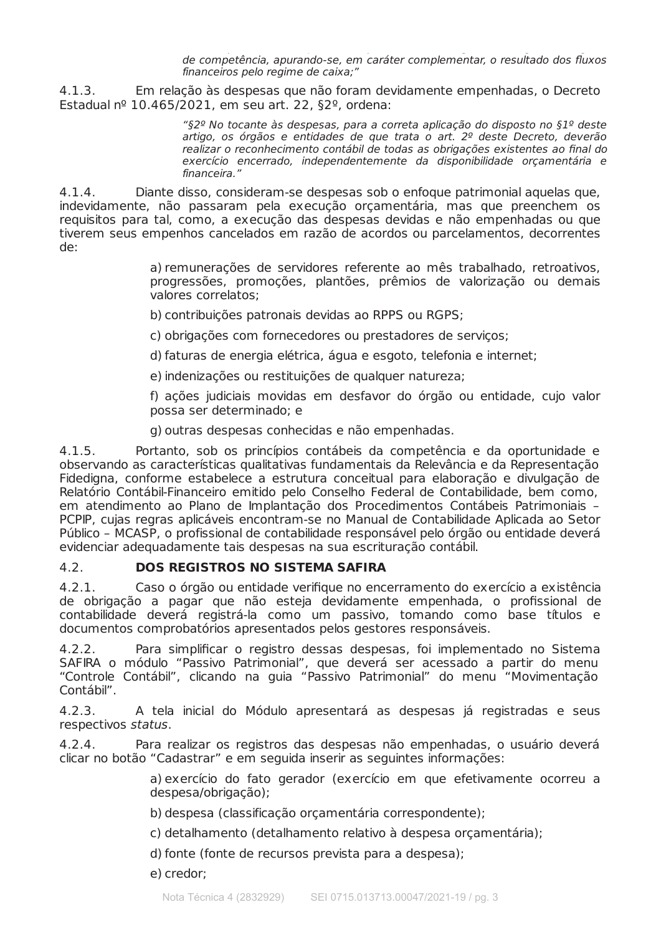de competência, apurando-se, em caráter complementar, o resultado dos fluxos financeiros pelo regime de caixa;"

 $4.1.3.$ Em relação às despesas que não foram devidamente empenhadas, o Decreto Estadual nº 10.465/2021, em seu art. 22, §2º, ordena:

> "§2º No tocante às despesas, para a correta aplicação do disposto no §1º deste artigo, os órgãos e entidades de que trata o art. 2º deste Decreto, deverão realizar o reconhecimento contábil de todas as obrigações existentes ao final do exercício encerrado, independentemente da disponibilidade orçamentária e financeira."

 $4.1.4.$ Diante disso, consideram-se despesas sob o enfoque patrimonial aquelas que, indevidamente, não passaram pela execução orçamentária, mas que preenchem os requisitos para tal, como, a execução das despesas devidas e não empenhadas ou que tiverem seus empenhos cancelados em razão de acordos ou parcelamentos, decorrentes de.

> a) remunerações de servidores referente ao mês trabalhado, retroativos, progressões, promoções, plantões, prêmios de valorização ou demais valores correlatos;

b) contribuições patronais devidas ao RPPS ou RGPS;

c) obrigações com fornecedores ou prestadores de servicos:

d) faturas de energia elétrica, água e esgoto, telefonia e internet;

e) indenizações ou restituições de qualquer natureza;

f) ações judiciais movidas em desfavor do órgão ou entidade, cujo valor possa ser determinado; e

g) outras despesas conhecidas e não empenhadas.

Portanto, sob os princípios contábeis da competência e da oportunidade e  $4.1.5.$ observando as características qualitativas fundamentais da Relevância e da Representação Fidedigna, conforme estabelece a estrutura conceitual para elaboração e divulgação de Relatório Contábil-Financeiro emitido pelo Conselho Federal de Contabilidade, bem como, em atendimento ao Plano de Implantação dos Procedimentos Contábeis Patrimoniais -PCPIP, cuias regras aplicáveis encontram-se no Manual de Contabilidade Aplicada ao Setor Público - MCASP, o profissional de contabilidade responsável pelo órgão ou entidade deverá evidenciar adequadamente tais despesas na sua escrituração contábil.

### $4.2.$ **DOS REGISTROS NO SISTEMA SAFIRA**

 $4.2.1.$ Caso o órgão ou entidade verifique no encerramento do exercício a existência de obrigação a pagar que não esteja devidamente empenhada, o profissional de contabilidade deverá registrá-la como um passivo, tomando como base títulos e documentos comprobatórios apresentados pelos gestores responsáveis.

 $4.2.2.$ Para simplificar o registro dessas despesas, foi implementado no Sistema SAFIRA o módulo "Passivo Patrimonial", que deverá ser acessado a partir do menu "Controle Contábil", clicando na quia "Passivo Patrimonial" do menu "Movimentação Contábil".

 $4.2.3.$ A tela inicial do Módulo apresentará as despesas já registradas e seus respectivos status.

 $4.2.4.$ Para realizar os registros das despesas não empenhadas, o usuário deverá clicar no botão "Cadastrar" e em seguida inserir as seguintes informações:

> a) exercício do fato gerador (exercício em que efetivamente ocorreu a despesa/obrigação);

b) despesa (classificação orçamentária correspondente);

c) detalhamento (detalhamento relativo à despesa orcamentária);

- d) fonte (fonte de recursos prevista para a despesa);
- e) credor;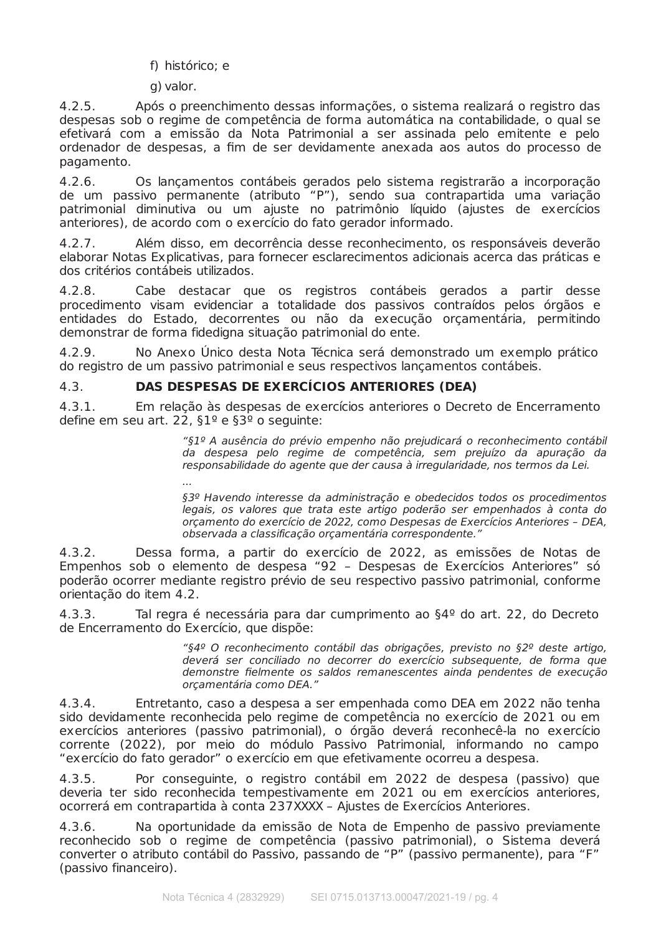f) histórico: e

 $\cdot$ 

g) valor.

 $4.2.5.$ Após o preenchimento dessas informações, o sistema realizará o registro das despesas sob o regime de competência de forma automática na contabilidade, o qual se efetivará com a emissão da Nota Patrimonial a ser assinada pelo emitente e pelo ordenador de despesas, a fim de ser devidamente anexada aos autos do processo de pagamento.

 $426$ Os lançamentos contábeis gerados pelo sistema registrarão a incorporação de um passivo permanente (atributo "P"), sendo sua contrapartida uma variação patrimonial diminutiva ou um ajuste no patrimônio líquido (ajustes de exercícios anteriores), de acordo com o exercício do fato gerador informado.

4 2 7 Além disso, em decorrência desse reconhecimento, os responsáveis deverão elaborar Notas Explicativas, para fornecer esclarecimentos adicionais acerca das práticas e dos critérios contábeis utilizados.

 $428$ Cabe destacar que os registros contábeis gerados a partir desse procedimento visam evidenciar a totalidade dos passivos contraídos pelos órgãos e entidades do Estado, decorrentes ou não da execução orçamentária, permitindo demonstrar de forma fidedigna situação patrimonial do ente.

No Anexo Único desta Nota Técnica será demonstrado um exemplo prático  $4.2.9.$ do registro de um passivo patrimonial e seus respectivos lançamentos contábeis.

### DAS DESPESAS DE EXERCÍCIOS ANTERIORES (DEA)  $4.3.$

 $4.3.1.$ Em relação às despesas de exercícios anteriores o Decreto de Encerramento define em seu art. 22,  $\S1^{\circ}$  e  $\S3^{\circ}$  o seguinte:

> "§1º A ausência do prévio empenho não prejudicará o reconhecimento contábil da despesa pelo regime de competência, sem prejuízo da apuração da responsabilidade do agente que der causa à irregularidade, nos termos da Lei.

> §3º Havendo interesse da administração e obedecidos todos os procedimentos legais, os valores que trata este artigo poderão ser empenhados à conta do orçamento do exercício de 2022, como Despesas de Exercícios Anteriores - DEA, observada a classificação orçamentária correspondente."

 $4.3.2.$ Dessa forma, a partir do exercício de 2022, as emissões de Notas de Empenhos sob o elemento de despesa "92 - Despesas de Exercícios Anteriores" só poderão ocorrer mediante registro prévio de seu respectivo passivo patrimonial, conforme orientação do item 4.2.

Tal regra é necessária para dar cumprimento ao §4º do art. 22, do Decreto  $4.3.3.$ de Encerramento do Exercício, que dispõe:

> "§4º O reconhecimento contábil das obrigações, previsto no §2º deste artigo, deverá ser conciliado no decorrer do exercício subsequente, de forma que demonstre fielmente os saldos remanescentes ainda pendentes de execução orcamentária como DEA."

 $4.3.4.$ Entretanto, caso a despesa a ser empenhada como DEA em 2022 não tenha sido devidamente reconhecida pelo regime de competência no exercício de 2021 ou em exercícios anteriores (passivo patrimonial), o órgão deverá reconhecê-la no exercício corrente (2022), por meio do módulo Passivo Patrimonial, informando no campo "exercício do fato gerador" o exercício em que efetivamente ocorreu a despesa.

Por conseguinte, o registro contábil em 2022 de despesa (passivo) que  $4.3.5.$ deveria ter sido reconhecida tempestivamente em 2021 ou em exercícios anteriores, ocorrerá em contrapartida à conta 237XXXX - Ajustes de Exercícios Anteriores.

Na oportunidade da emissão de Nota de Empenho de passivo previamente  $4.3.6.$ reconhecido sob o regime de competência (passivo patrimonial), o Sistema deverá<br>converter o atributo contábil do Passivo, passando de "P" (passivo permanente), para "F" (passivo financeiro).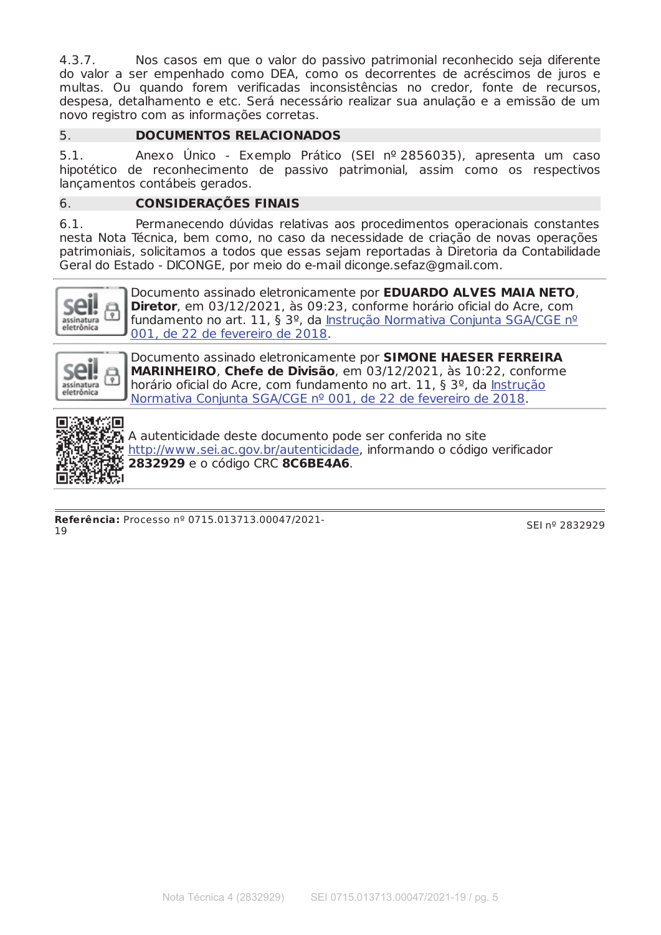$4.3.7.$ Nos casos em que o valor do passivo patrimonial reconhecido seja diferente do valor a ser empenhado como DEA, como os decorrentes de acréscimos de juros e multas. Ou quando forem verificadas inconsistências no credor, fonte de recursos, despesa, detalhamento e etc. Será necessário realizar sua anulação e a emissão de um novo registro com as informações corretas.

### **DOCUMENTOS RELACIONADOS**  $5.$

 $5<sub>1</sub>$ Anexo Único - Exemplo Prático (SEI nº 2856035), apresenta um caso hipotético de reconhecimento de passivo patrimonial, assim como os respectivos lancamentos contábeis gerados.

### **CONSIDERAÇÕES FINAIS** 6.

 $6.1.$ Permanecendo dúvidas relativas aos procedimentos operacionais constantes nesta Nota Técnica, bem como, no caso da necessidade de criação de novas operações patrimoniais, solicitamos a todos que essas sejam reportadas à Diretoria da Contabilidade Geral do Estado - DICONGE, por meio do e-mail diconge.sefaz@gmail.com.



Documento assinado eletronicamente por **EDUARDO ALVES MAIA NETO**, **Diretor**, em 03/12/2021, às 09:23, conforme horário oficial do Acre, com fundamento no art. 11, § 3º, da Instrução Normativa Conjunta SGA/CGE nº 001, de 22 de fevereiro de 2018.



Documento assinado eletronicamente por SIMONE HAESER FERREIRA MARINHEIRO, Chefe de Divisão, em 03/12/2021, às 10:22, conforme horário oficial do Acre, com fundamento no art. 11, § 3º, da Instrução Normativa Conjunta SGA/CGE nº 001, de 22 de fevereiro de 2018.



吸引性:<br>肠注射 A autenticidade deste documento pode ser conferida no site http://www.sei.ac.gov.br/autenticidade, informando o código verificador 2832929 e o código CRC 8C6BE4A6.

Referência: Processo nº 0715.013713.00047/2021- $19$ 

SEI nº 2832929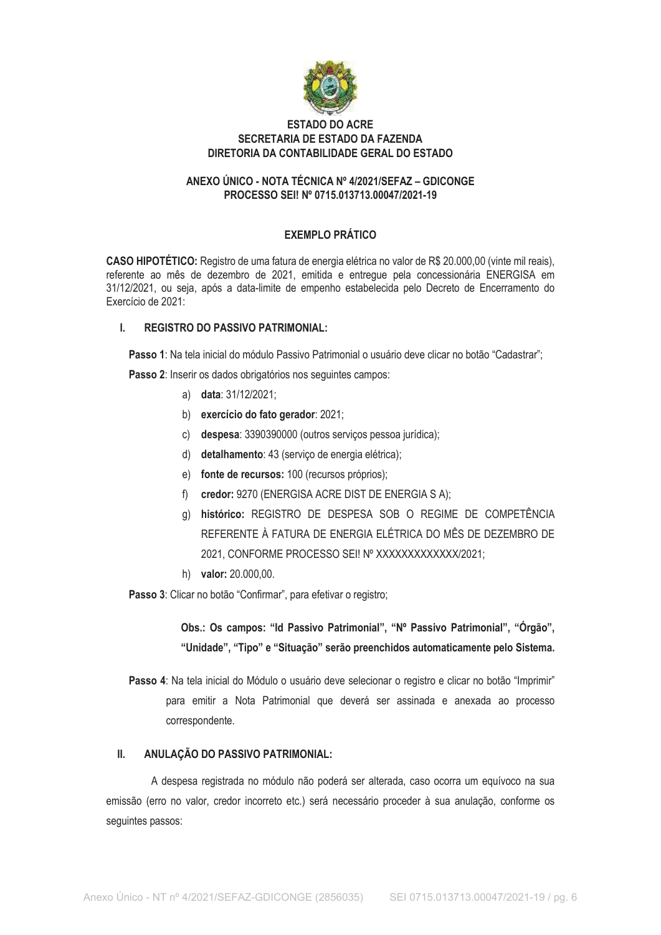

## **ESTADO DO ACRE** SECRETARIA DE ESTADO DA FAZENDA DIRETORIA DA CONTABILIDADE GERAL DO ESTADO

## ANEXO ÚNICO - NOTA TÉCNICA Nº 4/2021/SEFAZ - GDICONGE PROCESSO SEI! Nº 0715.013713.00047/2021-19

# **EXEMPLO PRÁTICO**

CASO HIPOTÉTICO: Registro de uma fatura de energia elétrica no valor de R\$ 20.000,00 (vinte mil reais). referente ao mês de dezembro de 2021, emitida e entregue pela concessionária ENERGISA em 31/12/2021, ou seja, após a data-limite de empenho estabelecida pelo Decreto de Encerramento do Exercício de 2021:

### **REGISTRO DO PASSIVO PATRIMONIAL:**  $\mathbf{L}$

Passo 1: Na tela inicial do módulo Passivo Patrimonial o usuário deve clicar no botão "Cadastrar":

Passo 2: Inserir os dados obrigatórios nos seguintes campos:

- a) data: 31/12/2021;
- b) exercício do fato gerador: 2021;
- c) despesa: 3390390000 (outros serviços pessoa jurídica);
- d) detalhamento: 43 (serviço de energia elétrica);
- e) fonte de recursos: 100 (recursos próprios);
- f) credor: 9270 (ENERGISA ACRE DIST DE ENERGIA S A);
- g) histórico: REGISTRO DE DESPESA SOB O REGIME DE COMPETÊNCIA REFERENTE À FATURA DE ENERGIA ELÉTRICA DO MÊS DE DEZEMBRO DE 2021, CONFORME PROCESSO SEI! Nº XXXXXXXXXXXX/2021;
- h) valor: 20.000,00.

Passo 3: Clicar no botão "Confirmar", para efetivar o registro;

Obs.: Os campos: "Id Passivo Patrimonial", "Nº Passivo Patrimonial", "Órgão", "Unidade", "Tipo" e "Situação" serão preenchidos automaticamente pelo Sistema.

Passo 4: Na tela inicial do Módulo o usuário deve selecionar o registro e clicar no botão "Imprimir" para emitir a Nota Patrimonial que deverá ser assinada e anexada ao processo correspondente.

#### ANULAÇÃO DO PASSIVO PATRIMONIAL:  $II.$

A despesa registrada no módulo não poderá ser alterada, caso ocorra um equívoco na sua emissão (erro no valor, credor incorreto etc.) será necessário proceder à sua anulação, conforme os sequintes passos: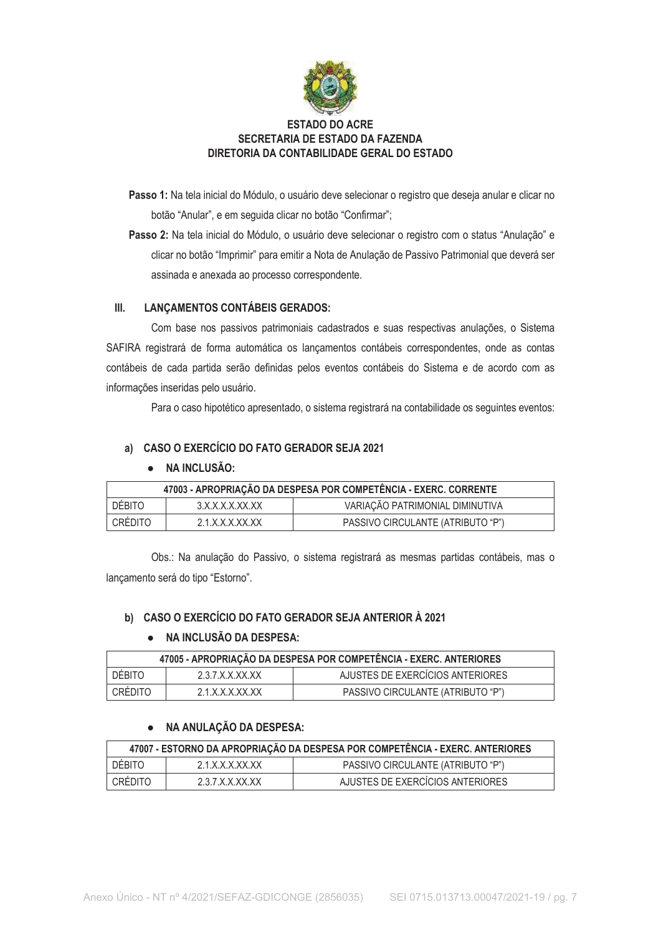

# **ESTADO DO ACRE** SECRETARIA DE ESTADO DA FAZENDA DIRETORIA DA CONTABILIDADE GERAL DO ESTADO

Passo 1: Na tela inicial do Módulo, o usuário deve selecionar o registro que deseja anular e clicar no botão "Anular", e em seguida clicar no botão "Confirmar";

Passo 2: Na tela inicial do Módulo, o usuário deve selecionar o registro com o status "Anulação" e clicar no botão "Imprimir" para emitir a Nota de Anulação de Passivo Patrimonial que deverá ser assinada e anexada ao processo correspondente.

#### $III.$ **LANÇAMENTOS CONTÁBEIS GERADOS:**

Com base nos passivos patrimoniais cadastrados e suas respectivas anulações, o Sistema SAFIRA registrará de forma automática os lançamentos contábeis correspondentes, onde as contas contábeis de cada partida serão definidas pelos eventos contábeis do Sistema e de acordo com as informações inseridas pelo usuário.

Para o caso hipotético apresentado, o sistema registrará na contabilidade os seguintes eventos:

## a) CASO O EXERCÍCIO DO FATO GERADOR SEJA 2021

### · NA INCLUSÃO:

| 47003 - APROPRIAÇÃO DA DESPESA POR COMPETÊNCIA - EXERC. CORRENTE |                       |                                   |  |
|------------------------------------------------------------------|-----------------------|-----------------------------------|--|
| <b>DÉBITO</b>                                                    | 3 X X X X X X X X     | VARIAÇÃO PATRIMONIAL DIMINUTIVA   |  |
| CRÉDITO                                                          | $2.1$ X X X X X X X X | PASSIVO CIRCULANTE (ATRIBUTO "P") |  |

Obs.: Na anulação do Passivo, o sistema registrará as mesmas partidas contábeis, mas o lançamento será do tipo "Estorno".

## b) CASO O EXERCÍCIO DO FATO GERADOR SEJA ANTERIOR À 2021

### • NA INCLUSÃO DA DESPESA:

| 47005 - APROPRIAÇÃO DA DESPESA POR COMPETÊNCIA - EXERC. ANTERIORES |                            |                                   |  |  |
|--------------------------------------------------------------------|----------------------------|-----------------------------------|--|--|
| <b>DÉBITO</b>                                                      | 237 X X X X X X            | AJUSTES DE EXERCÍCIOS ANTERIORES  |  |  |
| CRÉDITO                                                            | $2.1$ X X X X X X X $\chi$ | PASSIVO CIRCULANTE (ATRIBUTO "P") |  |  |

## NA ANULAÇÃO DA DESPESA:

| 47007 - ESTORNO DA APROPRIAÇÃO DA DESPESA POR COMPETÊNCIA - EXERC. ANTERIORES |                   |                                   |  |
|-------------------------------------------------------------------------------|-------------------|-----------------------------------|--|
| DEBITO.                                                                       | 2.1 X X X X X X X | PASSIVO CIRCULANTE (ATRIBUTO "P") |  |
| CRÉDITO                                                                       | 237 X X X X X X X | AJUSTES DE EXERCÍCIOS ANTERIORES  |  |